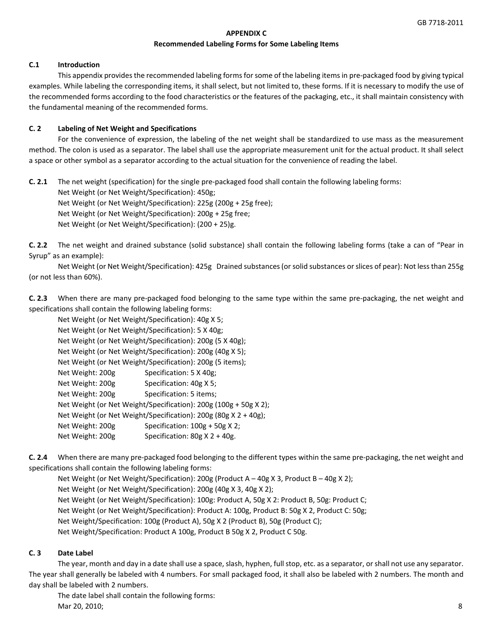## **APPENDIX C Recommended Labeling Forms for Some Labeling Items**

## **C.1 Introduction**

This appendix provides the recommended labeling forms for some of the labeling items in pre-packaged food by giving typical examples. While labeling the corresponding items, it shall select, but not limited to, these forms. If it is necessary to modify the use of the recommended forms according to the food characteristics or the features of the packaging, etc., it shall maintain consistency with the fundamental meaning of the recommended forms.

## **C. 2 Labeling of Net Weight and Specifications**

For the convenience of expression, the labeling of the net weight shall be standardized to use mass as the measurement method. The colon is used as a separator. The label shall use the appropriate measurement unit for the actual product. It shall select a space or other symbol as a separator according to the actual situation for the convenience of reading the label.

**C. 2.1** The net weight (specification) for the single pre-packaged food shall contain the following labeling forms: Net Weight (or Net Weight/Specification): 450g; Net Weight (or Net Weight/Specification): 225g (200g + 25g free); Net Weight (or Net Weight/Specification): 200g + 25g free; Net Weight (or Net Weight/Specification): (200 + 25)g.

**C. 2.2** The net weight and drained substance (solid substance) shall contain the following labeling forms (take a can of "Pear in Syrup" as an example):

Net Weight (or Net Weight/Specification): 425g Drained substances (or solid substances or slices of pear): Not less than 255g (or not less than 60%).

**C. 2.3** When there are many pre-packaged food belonging to the same type within the same pre-packaging, the net weight and specifications shall contain the following labeling forms:

| Net Weight (or Net Weight/Specification): 40g X 5; |                                                                      |
|----------------------------------------------------|----------------------------------------------------------------------|
| Net Weight (or Net Weight/Specification): 5 X 40g; |                                                                      |
|                                                    | Net Weight (or Net Weight/Specification): 200g (5 X 40g);            |
|                                                    | Net Weight (or Net Weight/Specification): 200g (40g X 5);            |
|                                                    | Net Weight (or Net Weight/Specification): 200g (5 items);            |
| Net Weight: 200g                                   | Specification: 5 X 40g;                                              |
| Net Weight: 200g                                   | Specification: 40g X 5;                                              |
| Net Weight: 200g                                   | Specification: 5 items;                                              |
|                                                    | Net Weight (or Net Weight/Specification): 200g (100g + 50g X 2);     |
|                                                    | Net Weight (or Net Weight/Specification): $200g$ (80g X $2 + 40g$ ); |
| Net Weight: 200g                                   | Specification: $100g + 50g X 2$ ;                                    |
| Net Weight: 200g                                   | Specification: $80gX 2 + 40g$ .                                      |

**C. 2.4** When there are many pre-packaged food belonging to the different types within the same pre-packaging, the net weight and specifications shall contain the following labeling forms:

Net Weight (or Net Weight/Specification): 200g (Product A – 40g X 3, Product B – 40g X 2); Net Weight (or Net Weight/Specification): 200g (40g X 3, 40g X 2); Net Weight (or Net Weight/Specification): 100g: Product A, 50g X 2: Product B, 50g: Product C; Net Weight (or Net Weight/Specification): Product A: 100g, Product B: 50g X 2, Product C: 50g; Net Weight/Specification: 100g (Product A), 50g X 2 (Product B), 50g (Product C); Net Weight/Specification: Product A 100g, Product B 50g X 2, Product C 50g.

## **C. 3 Date Label**

The year, month and day in a date shall use a space, slash, hyphen, full stop, etc. as a separator, or shall not use any separator. The year shall generally be labeled with 4 numbers. For small packaged food, it shall also be labeled with 2 numbers. The month and day shall be labeled with 2 numbers.

The date label shall contain the following forms: Mar 20, 2010; 8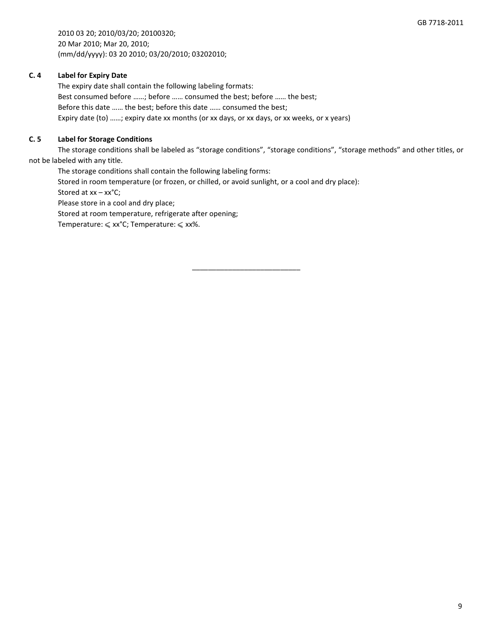2010 03 20; 2010/03/20; 20100320; 20 Mar 2010; Mar 20, 2010; (mm/dd/yyyy): 03 20 2010; 03/20/2010; 03202010;

# **C. 4 Label for Expiry Date**

The expiry date shall contain the following labeling formats: Best consumed before ……; before …… consumed the best; before …… the best; Before this date …… the best; before this date …… consumed the best; Expiry date (to) ……; expiry date xx months (or xx days, or xx days, or xx weeks, or x years)

# **C. 5 Label for Storage Conditions**

The storage conditions shall be labeled as "storage conditions", "storage conditions", "storage methods" and other titles, or not be labeled with any title.

The storage conditions shall contain the following labeling forms:

Stored in room temperature (or frozen, or chilled, or avoid sunlight, or a cool and dry place):

Stored at xx – xx°C;

Please store in a cool and dry place;

Stored at room temperature, refrigerate after opening;

Temperature:  $\leqslant$  xx<sup>o</sup>C; Temperature:  $\leqslant$  xx%.

\_\_\_\_\_\_\_\_\_\_\_\_\_\_\_\_\_\_\_\_\_\_\_\_\_\_\_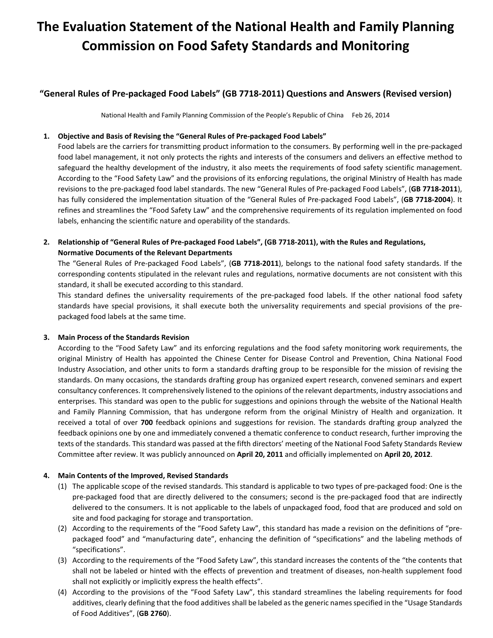# **The Evaluation Statement of the National Health and Family Planning Commission on Food Safety Standards and Monitoring**

# **"General Rules of Pre-packaged Food Labels" (GB 7718-2011) Questions and Answers (Revised version)**

National Health and Family Planning Commission of the People's Republic of China Feb 26, 2014

## **1. Objective and Basis of Revising the "General Rules of Pre-packaged Food Labels"**

Food labels are the carriers for transmitting product information to the consumers. By performing well in the pre-packaged food label management, it not only protects the rights and interests of the consumers and delivers an effective method to safeguard the healthy development of the industry, it also meets the requirements of food safety scientific management. According to the "Food Safety Law" and the provisions of its enforcing regulations, the original Ministry of Health has made revisions to the pre-packaged food label standards. The new "General Rules of Pre-packaged Food Labels", (**GB 7718-2011**), has fully considered the implementation situation of the "General Rules of Pre-packaged Food Labels", (**GB 7718-2004**). It refines and streamlines the "Food Safety Law" and the comprehensive requirements of its regulation implemented on food labels, enhancing the scientific nature and operability of the standards.

**2. Relationship of "General Rules of Pre-packaged Food Labels", (GB 7718-2011), with the Rules and Regulations, Normative Documents of the Relevant Departments** 

The "General Rules of Pre-packaged Food Labels", (**GB 7718-2011**), belongs to the national food safety standards. If the corresponding contents stipulated in the relevant rules and regulations, normative documents are not consistent with this standard, it shall be executed according to this standard.

This standard defines the universality requirements of the pre-packaged food labels. If the other national food safety standards have special provisions, it shall execute both the universality requirements and special provisions of the prepackaged food labels at the same time.

## **3. Main Process of the Standards Revision**

According to the "Food Safety Law" and its enforcing regulations and the food safety monitoring work requirements, the original Ministry of Health has appointed the Chinese Center for Disease Control and Prevention, China National Food Industry Association, and other units to form a standards drafting group to be responsible for the mission of revising the standards. On many occasions, the standards drafting group has organized expert research, convened seminars and expert consultancy conferences. It comprehensively listened to the opinions of the relevant departments, industry associations and enterprises. This standard was open to the public for suggestions and opinions through the website of the National Health and Family Planning Commission, that has undergone reform from the original Ministry of Health and organization. It received a total of over **700** feedback opinions and suggestions for revision. The standards drafting group analyzed the feedback opinions one by one and immediately convened a thematic conference to conduct research, further improving the texts of the standards. This standard was passed at the fifth directors' meeting of the National Food Safety Standards Review Committee after review. It was publicly announced on **April 20, 2011** and officially implemented on **April 20, 2012**.

## **4. Main Contents of the Improved, Revised Standards**

- (1) The applicable scope of the revised standards. This standard is applicable to two types of pre-packaged food: One is the pre-packaged food that are directly delivered to the consumers; second is the pre-packaged food that are indirectly delivered to the consumers. It is not applicable to the labels of unpackaged food, food that are produced and sold on site and food packaging for storage and transportation.
- (2) According to the requirements of the "Food Safety Law", this standard has made a revision on the definitions of "prepackaged food" and "manufacturing date", enhancing the definition of "specifications" and the labeling methods of "specifications".
- (3) According to the requirements of the "Food Safety Law", this standard increases the contents of the "the contents that shall not be labeled or hinted with the effects of prevention and treatment of diseases, non-health supplement food shall not explicitly or implicitly express the health effects".
- (4) According to the provisions of the "Food Safety Law", this standard streamlines the labeling requirements for food additives, clearly defining that the food additives shall be labeled as the generic names specified in the "Usage Standards of Food Additives", (**GB 2760**).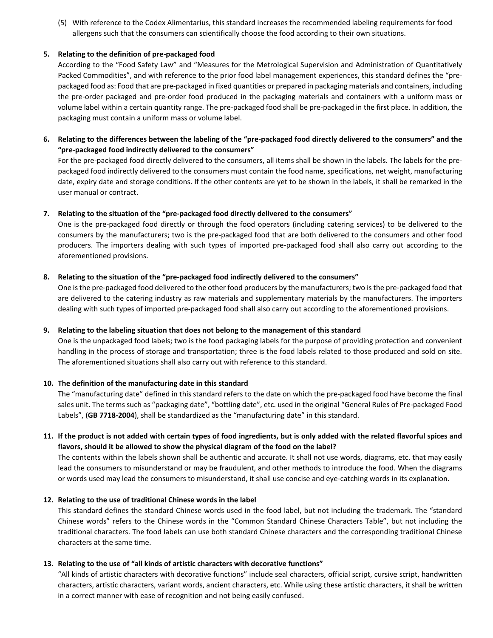(5) With reference to the Codex Alimentarius, this standard increases the recommended labeling requirements for food allergens such that the consumers can scientifically choose the food according to their own situations.

## **5. Relating to the definition of pre-packaged food**

According to the "Food Safety Law" and "Measures for the Metrological Supervision and Administration of Quantitatively Packed Commodities", and with reference to the prior food label management experiences, this standard defines the "prepackaged food as: Food that are pre-packaged in fixed quantities or prepared in packaging materials and containers, including the pre-order packaged and pre-order food produced in the packaging materials and containers with a uniform mass or volume label within a certain quantity range. The pre-packaged food shall be pre-packaged in the first place. In addition, the packaging must contain a uniform mass or volume label.

**6. Relating to the differences between the labeling of the "pre-packaged food directly delivered to the consumers" and the "pre-packaged food indirectly delivered to the consumers"** 

For the pre-packaged food directly delivered to the consumers, all items shall be shown in the labels. The labels for the prepackaged food indirectly delivered to the consumers must contain the food name, specifications, net weight, manufacturing date, expiry date and storage conditions. If the other contents are yet to be shown in the labels, it shall be remarked in the user manual or contract.

#### **7. Relating to the situation of the "pre-packaged food directly delivered to the consumers"**

One is the pre-packaged food directly or through the food operators (including catering services) to be delivered to the consumers by the manufacturers; two is the pre-packaged food that are both delivered to the consumers and other food producers. The importers dealing with such types of imported pre-packaged food shall also carry out according to the aforementioned provisions.

#### **8. Relating to the situation of the "pre-packaged food indirectly delivered to the consumers"**

One is the pre-packaged food delivered to the other food producers by the manufacturers; two is the pre-packaged food that are delivered to the catering industry as raw materials and supplementary materials by the manufacturers. The importers dealing with such types of imported pre-packaged food shall also carry out according to the aforementioned provisions.

## **9. Relating to the labeling situation that does not belong to the management of this standard**

One is the unpackaged food labels; two is the food packaging labels for the purpose of providing protection and convenient handling in the process of storage and transportation; three is the food labels related to those produced and sold on site. The aforementioned situations shall also carry out with reference to this standard.

## **10. The definition of the manufacturing date in this standard**

The "manufacturing date" defined in this standard refers to the date on which the pre-packaged food have become the final sales unit. The terms such as "packaging date", "bottling date", etc. used in the original "General Rules of Pre-packaged Food Labels", (**GB 7718-2004**), shall be standardized as the "manufacturing date" in this standard.

# **11. If the product is not added with certain types of food ingredients, but is only added with the related flavorful spices and flavors, should it be allowed to show the physical diagram of the food on the label?**

The contents within the labels shown shall be authentic and accurate. It shall not use words, diagrams, etc. that may easily lead the consumers to misunderstand or may be fraudulent, and other methods to introduce the food. When the diagrams or words used may lead the consumers to misunderstand, it shall use concise and eye-catching words in its explanation.

#### **12. Relating to the use of traditional Chinese words in the label**

This standard defines the standard Chinese words used in the food label, but not including the trademark. The "standard Chinese words" refers to the Chinese words in the "Common Standard Chinese Characters Table", but not including the traditional characters. The food labels can use both standard Chinese characters and the corresponding traditional Chinese characters at the same time.

## **13. Relating to the use of "all kinds of artistic characters with decorative functions"**

"All kinds of artistic characters with decorative functions" include seal characters, official script, cursive script, handwritten characters, artistic characters, variant words, ancient characters, etc. While using these artistic characters, it shall be written in a correct manner with ease of recognition and not being easily confused.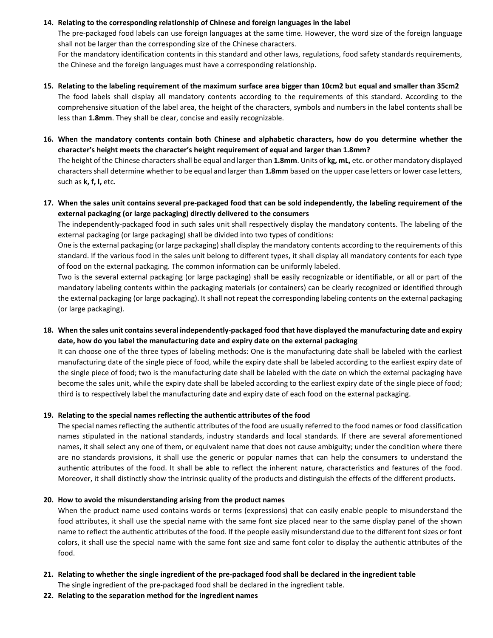## **14. Relating to the corresponding relationship of Chinese and foreign languages in the label**

The pre-packaged food labels can use foreign languages at the same time. However, the word size of the foreign language shall not be larger than the corresponding size of the Chinese characters.

For the mandatory identification contents in this standard and other laws, regulations, food safety standards requirements, the Chinese and the foreign languages must have a corresponding relationship.

- **15. Relating to the labeling requirement of the maximum surface area bigger than 10cm2 but equal and smaller than 35cm2**  The food labels shall display all mandatory contents according to the requirements of this standard. According to the comprehensive situation of the label area, the height of the characters, symbols and numbers in the label contents shall be less than **1.8mm**. They shall be clear, concise and easily recognizable.
- **16. When the mandatory contents contain both Chinese and alphabetic characters, how do you determine whether the character's height meets the character's height requirement of equal and larger than 1.8mm?**

The height of the Chinese characters shall be equal and larger than **1.8mm**. Units of **kg, mL,** etc. or other mandatory displayed characters shall determine whether to be equal and larger than **1.8mm** based on the upper case letters or lower case letters, such as **k, f, l,** etc.

**17. When the sales unit contains several pre-packaged food that can be sold independently, the labeling requirement of the external packaging (or large packaging) directly delivered to the consumers** 

The independently-packaged food in such sales unit shall respectively display the mandatory contents. The labeling of the external packaging (or large packaging) shall be divided into two types of conditions:

One is the external packaging (or large packaging) shall display the mandatory contents according to the requirements of this standard. If the various food in the sales unit belong to different types, it shall display all mandatory contents for each type of food on the external packaging. The common information can be uniformly labeled.

Two is the several external packaging (or large packaging) shall be easily recognizable or identifiable, or all or part of the mandatory labeling contents within the packaging materials (or containers) can be clearly recognized or identified through the external packaging (or large packaging). It shall not repeat the corresponding labeling contents on the external packaging (or large packaging).

**18. When the sales unit contains several independently-packaged food that have displayed the manufacturing date and expiry date, how do you label the manufacturing date and expiry date on the external packaging** 

It can choose one of the three types of labeling methods: One is the manufacturing date shall be labeled with the earliest manufacturing date of the single piece of food, while the expiry date shall be labeled according to the earliest expiry date of the single piece of food; two is the manufacturing date shall be labeled with the date on which the external packaging have become the sales unit, while the expiry date shall be labeled according to the earliest expiry date of the single piece of food; third is to respectively label the manufacturing date and expiry date of each food on the external packaging.

## **19. Relating to the special names reflecting the authentic attributes of the food**

The special names reflecting the authentic attributes of the food are usually referred to the food names or food classification names stipulated in the national standards, industry standards and local standards. If there are several aforementioned names, it shall select any one of them, or equivalent name that does not cause ambiguity; under the condition where there are no standards provisions, it shall use the generic or popular names that can help the consumers to understand the authentic attributes of the food. It shall be able to reflect the inherent nature, characteristics and features of the food. Moreover, it shall distinctly show the intrinsic quality of the products and distinguish the effects of the different products.

## **20. How to avoid the misunderstanding arising from the product names**

When the product name used contains words or terms (expressions) that can easily enable people to misunderstand the food attributes, it shall use the special name with the same font size placed near to the same display panel of the shown name to reflect the authentic attributes of the food. If the people easily misunderstand due to the different font sizes or font colors, it shall use the special name with the same font size and same font color to display the authentic attributes of the food.

- **21. Relating to whether the single ingredient of the pre-packaged food shall be declared in the ingredient table**  The single ingredient of the pre-packaged food shall be declared in the ingredient table.
- **22. Relating to the separation method for the ingredient names**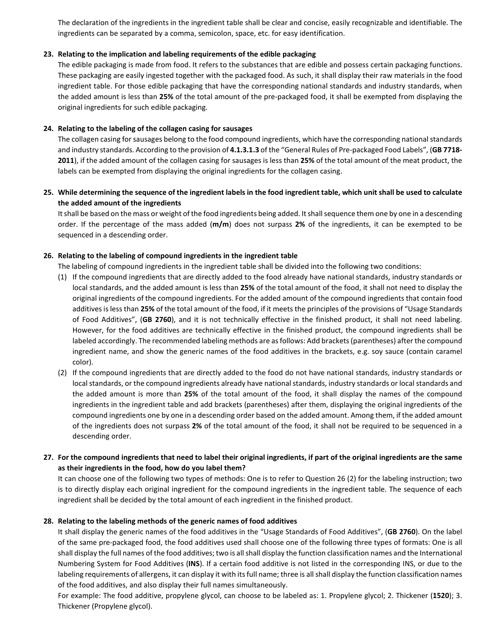The declaration of the ingredients in the ingredient table shall be clear and concise, easily recognizable and identifiable. The ingredients can be separated by a comma, semicolon, space, etc. for easy identification.

## **23. Relating to the implication and labeling requirements of the edible packaging**

The edible packaging is made from food. It refers to the substances that are edible and possess certain packaging functions. These packaging are easily ingested together with the packaged food. As such, it shall display their raw materials in the food ingredient table. For those edible packaging that have the corresponding national standards and industry standards, when the added amount is less than **25%** of the total amount of the pre-packaged food, it shall be exempted from displaying the original ingredients for such edible packaging.

#### **24. Relating to the labeling of the collagen casing for sausages**

The collagen casing for sausages belong to the food compound ingredients, which have the corresponding national standards and industry standards. According to the provision of **4.1.3.1.3** of the "General Rules of Pre-packaged Food Labels", (**GB 7718- 2011**), if the added amount of the collagen casing for sausages is less than **25%** of the total amount of the meat product, the labels can be exempted from displaying the original ingredients for the collagen casing.

# **25. While determining the sequence of the ingredient labels in the food ingredient table, which unit shall be used to calculate the added amount of the ingredients**

It shall be based on the mass or weight of the food ingredients being added. It shall sequence them one by one in a descending order. If the percentage of the mass added (**m/m**) does not surpass **2%** of the ingredients, it can be exempted to be sequenced in a descending order.

#### **26. Relating to the labeling of compound ingredients in the ingredient table**

The labeling of compound ingredients in the ingredient table shall be divided into the following two conditions:

- (1) If the compound ingredients that are directly added to the food already have national standards, industry standards or local standards, and the added amount is less than **25%** of the total amount of the food, it shall not need to display the original ingredients of the compound ingredients. For the added amount of the compound ingredients that contain food additives is less than **25%** of the total amount of the food, if it meets the principles of the provisions of "Usage Standards of Food Additives", (**GB 2760**), and it is not technically effective in the finished product, it shall not need labeling. However, for the food additives are technically effective in the finished product, the compound ingredients shall be labeled accordingly. The recommended labeling methods are as follows: Add brackets (parentheses) after the compound ingredient name, and show the generic names of the food additives in the brackets, e.g. soy sauce (contain caramel color).
- (2) If the compound ingredients that are directly added to the food do not have national standards, industry standards or local standards, or the compound ingredients already have national standards, industry standards or local standards and the added amount is more than **25%** of the total amount of the food, it shall display the names of the compound ingredients in the ingredient table and add brackets (parentheses) after them, displaying the original ingredients of the compound ingredients one by one in a descending order based on the added amount. Among them, if the added amount of the ingredients does not surpass **2%** of the total amount of the food, it shall not be required to be sequenced in a descending order.

## **27. For the compound ingredients that need to label their original ingredients, if part of the original ingredients are the same as their ingredients in the food, how do you label them?**

It can choose one of the following two types of methods: One is to refer to Question 26 (2) for the labeling instruction; two is to directly display each original ingredient for the compound ingredients in the ingredient table. The sequence of each ingredient shall be decided by the total amount of each ingredient in the finished product.

## **28. Relating to the labeling methods of the generic names of food additives**

It shall display the generic names of the food additives in the "Usage Standards of Food Additives", (**GB 2760**). On the label of the same pre-packaged food, the food additives used shall choose one of the following three types of formats: One is all shall display the full names of the food additives; two is all shall display the function classification names and the International Numbering System for Food Additives (**INS**). If a certain food additive is not listed in the corresponding INS, or due to the labeling requirements of allergens, it can display it with its full name; three is all shall display the function classification names of the food additives, and also display their full names simultaneously.

For example: The food additive, propylene glycol, can choose to be labeled as: 1. Propylene glycol; 2. Thickener (**1520**); 3. Thickener (Propylene glycol).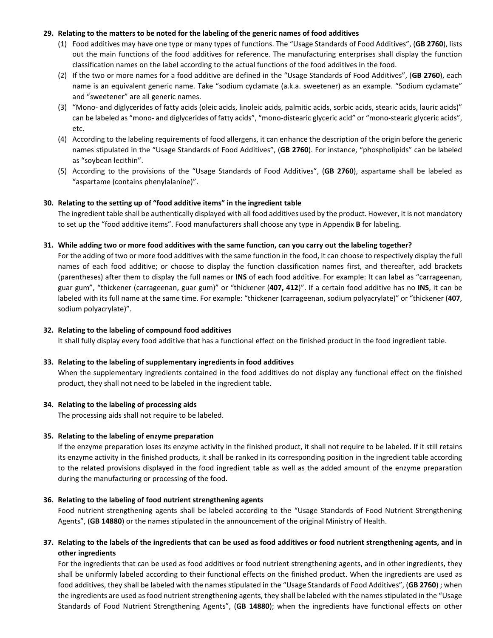## **29. Relating to the matters to be noted for the labeling of the generic names of food additives**

- (1) Food additives may have one type or many types of functions. The "Usage Standards of Food Additives", (**GB 2760**), lists out the main functions of the food additives for reference. The manufacturing enterprises shall display the function classification names on the label according to the actual functions of the food additives in the food.
- (2) If the two or more names for a food additive are defined in the "Usage Standards of Food Additives", (**GB 2760**), each name is an equivalent generic name. Take "sodium cyclamate (a.k.a. sweetener) as an example. "Sodium cyclamate" and "sweetener" are all generic names.
- (3) "Mono- and diglycerides of fatty acids (oleic acids, linoleic acids, palmitic acids, sorbic acids, stearic acids, lauric acids)" can be labeled as "mono- and diglycerides of fatty acids", "mono-distearic glyceric acid" or "mono-stearic glyceric acids", etc.
- (4) According to the labeling requirements of food allergens, it can enhance the description of the origin before the generic names stipulated in the "Usage Standards of Food Additives", (**GB 2760**). For instance, "phospholipids" can be labeled as "soybean lecithin".
- (5) According to the provisions of the "Usage Standards of Food Additives", (**GB 2760**), aspartame shall be labeled as "aspartame (contains phenylalanine)".

#### **30. Relating to the setting up of "food additive items" in the ingredient table**

The ingredient table shall be authentically displayed with all food additives used by the product. However, it is not mandatory to set up the "food additive items". Food manufacturers shall choose any type in Appendix **B** for labeling.

#### **31. While adding two or more food additives with the same function, can you carry out the labeling together?**

For the adding of two or more food additives with the same function in the food, it can choose to respectively display the full names of each food additive; or choose to display the function classification names first, and thereafter, add brackets (parentheses) after them to display the full names or **INS** of each food additive. For example: It can label as "carrageenan, guar gum", "thickener (carrageenan, guar gum)" or "thickener (**407, 412**)". If a certain food additive has no **INS**, it can be labeled with its full name at the same time. For example: "thickener (carrageenan, sodium polyacrylate)" or "thickener (**407**, sodium polyacrylate)".

#### **32. Relating to the labeling of compound food additives**

It shall fully display every food additive that has a functional effect on the finished product in the food ingredient table.

## **33. Relating to the labeling of supplementary ingredients in food additives**

When the supplementary ingredients contained in the food additives do not display any functional effect on the finished product, they shall not need to be labeled in the ingredient table.

#### **34. Relating to the labeling of processing aids**

The processing aids shall not require to be labeled.

#### **35. Relating to the labeling of enzyme preparation**

If the enzyme preparation loses its enzyme activity in the finished product, it shall not require to be labeled. If it still retains its enzyme activity in the finished products, it shall be ranked in its corresponding position in the ingredient table according to the related provisions displayed in the food ingredient table as well as the added amount of the enzyme preparation during the manufacturing or processing of the food.

#### **36. Relating to the labeling of food nutrient strengthening agents**

Food nutrient strengthening agents shall be labeled according to the "Usage Standards of Food Nutrient Strengthening Agents", (**GB 14880**) or the names stipulated in the announcement of the original Ministry of Health.

## **37. Relating to the labels of the ingredients that can be used as food additives or food nutrient strengthening agents, and in other ingredients**

For the ingredients that can be used as food additives or food nutrient strengthening agents, and in other ingredients, they shall be uniformly labeled according to their functional effects on the finished product. When the ingredients are used as food additives, they shall be labeled with the names stipulated in the "Usage Standards of Food Additives", (**GB 2760**) ; when the ingredients are used as food nutrient strengthening agents, they shall be labeled with the names stipulated in the "Usage Standards of Food Nutrient Strengthening Agents", (**GB 14880**); when the ingredients have functional effects on other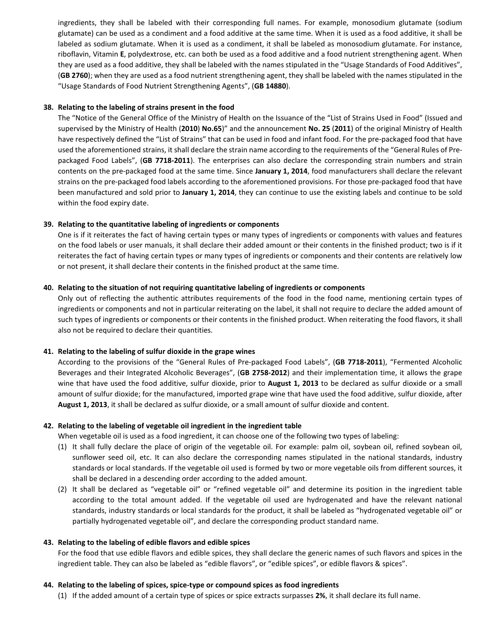ingredients, they shall be labeled with their corresponding full names. For example, monosodium glutamate (sodium glutamate) can be used as a condiment and a food additive at the same time. When it is used as a food additive, it shall be labeled as sodium glutamate. When it is used as a condiment, it shall be labeled as monosodium glutamate. For instance, riboflavin, Vitamin **E**, polydextrose, etc. can both be used as a food additive and a food nutrient strengthening agent. When they are used as a food additive, they shall be labeled with the names stipulated in the "Usage Standards of Food Additives", (**GB 2760**); when they are used as a food nutrient strengthening agent, they shall be labeled with the names stipulated in the "Usage Standards of Food Nutrient Strengthening Agents", (**GB 14880**).

#### **38. Relating to the labeling of strains present in the food**

The "Notice of the General Office of the Ministry of Health on the Issuance of the "List of Strains Used in Food" (Issued and supervised by the Ministry of Health (**2010**) **No.65**)" and the announcement **No. 25** (**2011**) of the original Ministry of Health have respectively defined the "List of Strains" that can be used in food and infant food. For the pre-packaged food that have used the aforementioned strains, it shall declare the strain name according to the requirements of the "General Rules of Prepackaged Food Labels", (**GB 7718-2011**). The enterprises can also declare the corresponding strain numbers and strain contents on the pre-packaged food at the same time. Since **January 1, 2014**, food manufacturers shall declare the relevant strains on the pre-packaged food labels according to the aforementioned provisions. For those pre-packaged food that have been manufactured and sold prior to **January 1, 2014**, they can continue to use the existing labels and continue to be sold within the food expiry date.

## **39. Relating to the quantitative labeling of ingredients or components**

One is if it reiterates the fact of having certain types or many types of ingredients or components with values and features on the food labels or user manuals, it shall declare their added amount or their contents in the finished product; two is if it reiterates the fact of having certain types or many types of ingredients or components and their contents are relatively low or not present, it shall declare their contents in the finished product at the same time.

#### **40. Relating to the situation of not requiring quantitative labeling of ingredients or components**

Only out of reflecting the authentic attributes requirements of the food in the food name, mentioning certain types of ingredients or components and not in particular reiterating on the label, it shall not require to declare the added amount of such types of ingredients or components or their contents in the finished product. When reiterating the food flavors, it shall also not be required to declare their quantities.

#### **41. Relating to the labeling of sulfur dioxide in the grape wines**

According to the provisions of the "General Rules of Pre-packaged Food Labels", (**GB 7718-2011**), "Fermented Alcoholic Beverages and their Integrated Alcoholic Beverages", (**GB 2758-2012**) and their implementation time, it allows the grape wine that have used the food additive, sulfur dioxide, prior to **August 1, 2013** to be declared as sulfur dioxide or a small amount of sulfur dioxide; for the manufactured, imported grape wine that have used the food additive, sulfur dioxide, after **August 1, 2013**, it shall be declared as sulfur dioxide, or a small amount of sulfur dioxide and content.

## **42. Relating to the labeling of vegetable oil ingredient in the ingredient table**

When vegetable oil is used as a food ingredient, it can choose one of the following two types of labeling:

- (1) It shall fully declare the place of origin of the vegetable oil. For example: palm oil, soybean oil, refined soybean oil, sunflower seed oil, etc. It can also declare the corresponding names stipulated in the national standards, industry standards or local standards. If the vegetable oil used is formed by two or more vegetable oils from different sources, it shall be declared in a descending order according to the added amount.
- (2) It shall be declared as "vegetable oil" or "refined vegetable oil" and determine its position in the ingredient table according to the total amount added. If the vegetable oil used are hydrogenated and have the relevant national standards, industry standards or local standards for the product, it shall be labeled as "hydrogenated vegetable oil" or partially hydrogenated vegetable oil", and declare the corresponding product standard name.

#### **43. Relating to the labeling of edible flavors and edible spices**

For the food that use edible flavors and edible spices, they shall declare the generic names of such flavors and spices in the ingredient table. They can also be labeled as "edible flavors", or "edible spices", or edible flavors & spices".

#### **44. Relating to the labeling of spices, spice-type or compound spices as food ingredients**

(1) If the added amount of a certain type of spices or spice extracts surpasses **2%**, it shall declare its full name.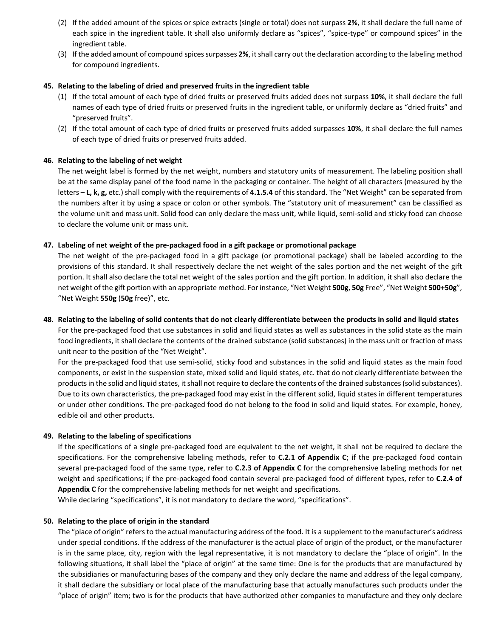- (2) If the added amount of the spices or spice extracts (single or total) does not surpass **2%**, it shall declare the full name of each spice in the ingredient table. It shall also uniformly declare as "spices", "spice-type" or compound spices" in the ingredient table.
- (3) If the added amount of compound spices surpasses **2%**, it shall carry out the declaration according to the labeling method for compound ingredients.

## **45. Relating to the labeling of dried and preserved fruits in the ingredient table**

- (1) If the total amount of each type of dried fruits or preserved fruits added does not surpass **10%**, it shall declare the full names of each type of dried fruits or preserved fruits in the ingredient table, or uniformly declare as "dried fruits" and "preserved fruits".
- (2) If the total amount of each type of dried fruits or preserved fruits added surpasses **10%**, it shall declare the full names of each type of dried fruits or preserved fruits added.

#### **46. Relating to the labeling of net weight**

The net weight label is formed by the net weight, numbers and statutory units of measurement. The labeling position shall be at the same display panel of the food name in the packaging or container. The height of all characters (measured by the letters – **L, k, g,** etc.) shall comply with the requirements of **4.1.5.4** of this standard. The "Net Weight" can be separated from the numbers after it by using a space or colon or other symbols. The "statutory unit of measurement" can be classified as the volume unit and mass unit. Solid food can only declare the mass unit, while liquid, semi-solid and sticky food can choose to declare the volume unit or mass unit.

#### **47. Labeling of net weight of the pre-packaged food in a gift package or promotional package**

The net weight of the pre-packaged food in a gift package (or promotional package) shall be labeled according to the provisions of this standard. It shall respectively declare the net weight of the sales portion and the net weight of the gift portion. It shall also declare the total net weight of the sales portion and the gift portion. In addition, it shall also declare the net weight of the gift portion with an appropriate method. For instance, "Net Weight **500g**, **50g** Free", "Net Weight **500+50g**", "Net Weight **550g** (**50g** free)", etc.

#### **48. Relating to the labeling of solid contents that do not clearly differentiate between the products in solid and liquid states**

For the pre-packaged food that use substances in solid and liquid states as well as substances in the solid state as the main food ingredients, it shall declare the contents of the drained substance (solid substances) in the mass unit or fraction of mass unit near to the position of the "Net Weight".

For the pre-packaged food that use semi-solid, sticky food and substances in the solid and liquid states as the main food components, or exist in the suspension state, mixed solid and liquid states, etc. that do not clearly differentiate between the products in the solid and liquid states, it shall not require to declare the contents of the drained substances (solid substances). Due to its own characteristics, the pre-packaged food may exist in the different solid, liquid states in different temperatures or under other conditions. The pre-packaged food do not belong to the food in solid and liquid states. For example, honey, edible oil and other products.

#### **49. Relating to the labeling of specifications**

If the specifications of a single pre-packaged food are equivalent to the net weight, it shall not be required to declare the specifications. For the comprehensive labeling methods, refer to **C.2.1 of Appendix C**; if the pre-packaged food contain several pre-packaged food of the same type, refer to **C.2.3 of Appendix C** for the comprehensive labeling methods for net weight and specifications; if the pre-packaged food contain several pre-packaged food of different types, refer to **C.2.4 of Appendix C** for the comprehensive labeling methods for net weight and specifications.

While declaring "specifications", it is not mandatory to declare the word, "specifications".

#### **50. Relating to the place of origin in the standard**

The "place of origin" refers to the actual manufacturing address of the food. It is a supplement to the manufacturer's address under special conditions. If the address of the manufacturer is the actual place of origin of the product, or the manufacturer is in the same place, city, region with the legal representative, it is not mandatory to declare the "place of origin". In the following situations, it shall label the "place of origin" at the same time: One is for the products that are manufactured by the subsidiaries or manufacturing bases of the company and they only declare the name and address of the legal company, it shall declare the subsidiary or local place of the manufacturing base that actually manufactures such products under the "place of origin" item; two is for the products that have authorized other companies to manufacture and they only declare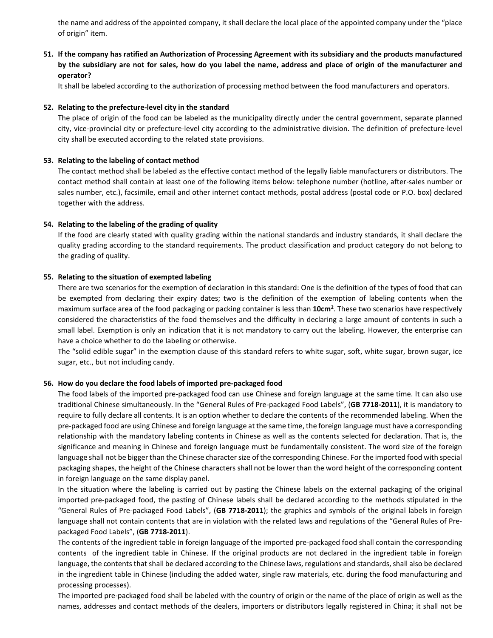the name and address of the appointed company, it shall declare the local place of the appointed company under the "place of origin" item.

**51. If the company has ratified an Authorization of Processing Agreement with its subsidiary and the products manufactured by the subsidiary are not for sales, how do you label the name, address and place of origin of the manufacturer and operator?** 

It shall be labeled according to the authorization of processing method between the food manufacturers and operators.

#### **52. Relating to the prefecture-level city in the standard**

The place of origin of the food can be labeled as the municipality directly under the central government, separate planned city, vice-provincial city or prefecture-level city according to the administrative division. The definition of prefecture-level city shall be executed according to the related state provisions.

#### **53. Relating to the labeling of contact method**

The contact method shall be labeled as the effective contact method of the legally liable manufacturers or distributors. The contact method shall contain at least one of the following items below: telephone number (hotline, after-sales number or sales number, etc.), facsimile, email and other internet contact methods, postal address (postal code or P.O. box) declared together with the address.

#### **54. Relating to the labeling of the grading of quality**

If the food are clearly stated with quality grading within the national standards and industry standards, it shall declare the quality grading according to the standard requirements. The product classification and product category do not belong to the grading of quality.

#### **55. Relating to the situation of exempted labeling**

There are two scenarios for the exemption of declaration in this standard: One is the definition of the types of food that can be exempted from declaring their expiry dates; two is the definition of the exemption of labeling contents when the maximum surface area of the food packaging or packing container is less than **10cm2**  . These two scenarios have respectively considered the characteristics of the food themselves and the difficulty in declaring a large amount of contents in such a small label. Exemption is only an indication that it is not mandatory to carry out the labeling. However, the enterprise can have a choice whether to do the labeling or otherwise.

The "solid edible sugar" in the exemption clause of this standard refers to white sugar, soft, white sugar, brown sugar, ice sugar, etc., but not including candy.

#### **56. How do you declare the food labels of imported pre-packaged food**

The food labels of the imported pre-packaged food can use Chinese and foreign language at the same time. It can also use traditional Chinese simultaneously. In the "General Rules of Pre-packaged Food Labels", (**GB 7718-2011**), it is mandatory to require to fully declare all contents. It is an option whether to declare the contents of the recommended labeling. When the pre-packaged food are using Chinese and foreign language at the same time, the foreign language must have a corresponding relationship with the mandatory labeling contents in Chinese as well as the contents selected for declaration. That is, the significance and meaning in Chinese and foreign language must be fundamentally consistent. The word size of the foreign language shall not be bigger than the Chinese character size of the corresponding Chinese. For the imported food with special packaging shapes, the height of the Chinese characters shall not be lower than the word height of the corresponding content in foreign language on the same display panel.

In the situation where the labeling is carried out by pasting the Chinese labels on the external packaging of the original imported pre-packaged food, the pasting of Chinese labels shall be declared according to the methods stipulated in the "General Rules of Pre-packaged Food Labels", (**GB 7718-2011**); the graphics and symbols of the original labels in foreign language shall not contain contents that are in violation with the related laws and regulations of the "General Rules of Prepackaged Food Labels", (**GB 7718-2011**).

The contents of the ingredient table in foreign language of the imported pre-packaged food shall contain the corresponding contents of the ingredient table in Chinese. If the original products are not declared in the ingredient table in foreign language, the contents that shall be declared according to the Chinese laws, regulations and standards, shall also be declared in the ingredient table in Chinese (including the added water, single raw materials, etc. during the food manufacturing and processing processes).

The imported pre-packaged food shall be labeled with the country of origin or the name of the place of origin as well as the names, addresses and contact methods of the dealers, importers or distributors legally registered in China; it shall not be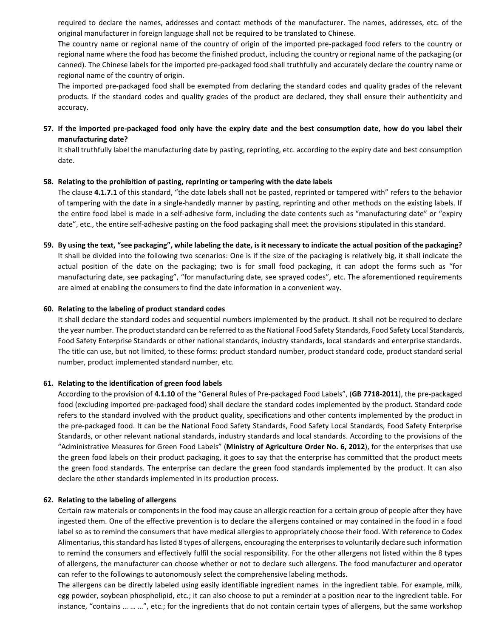required to declare the names, addresses and contact methods of the manufacturer. The names, addresses, etc. of the original manufacturer in foreign language shall not be required to be translated to Chinese.

The country name or regional name of the country of origin of the imported pre-packaged food refers to the country or regional name where the food has become the finished product, including the country or regional name of the packaging (or canned). The Chinese labels for the imported pre-packaged food shall truthfully and accurately declare the country name or regional name of the country of origin.

The imported pre-packaged food shall be exempted from declaring the standard codes and quality grades of the relevant products. If the standard codes and quality grades of the product are declared, they shall ensure their authenticity and accuracy.

**57. If the imported pre-packaged food only have the expiry date and the best consumption date, how do you label their manufacturing date?** 

It shall truthfully label the manufacturing date by pasting, reprinting, etc. according to the expiry date and best consumption date.

#### **58. Relating to the prohibition of pasting, reprinting or tampering with the date labels**

The clause **4.1.7.1** of this standard, "the date labels shall not be pasted, reprinted or tampered with" refers to the behavior of tampering with the date in a single-handedly manner by pasting, reprinting and other methods on the existing labels. If the entire food label is made in a self-adhesive form, including the date contents such as "manufacturing date" or "expiry date", etc., the entire self-adhesive pasting on the food packaging shall meet the provisions stipulated in this standard.

**59. By using the text, "see packaging", while labeling the date, is it necessary to indicate the actual position of the packaging?**  It shall be divided into the following two scenarios: One is if the size of the packaging is relatively big, it shall indicate the actual position of the date on the packaging; two is for small food packaging, it can adopt the forms such as "for manufacturing date, see packaging", "for manufacturing date, see sprayed codes", etc. The aforementioned requirements are aimed at enabling the consumers to find the date information in a convenient way.

#### **60. Relating to the labeling of product standard codes**

It shall declare the standard codes and sequential numbers implemented by the product. It shall not be required to declare the year number. The product standard can be referred to as the National Food Safety Standards, Food Safety Local Standards, Food Safety Enterprise Standards or other national standards, industry standards, local standards and enterprise standards. The title can use, but not limited, to these forms: product standard number, product standard code, product standard serial number, product implemented standard number, etc.

#### **61. Relating to the identification of green food labels**

According to the provision of **4.1.10** of the "General Rules of Pre-packaged Food Labels", (**GB 7718-2011**), the pre-packaged food (excluding imported pre-packaged food) shall declare the standard codes implemented by the product. Standard code refers to the standard involved with the product quality, specifications and other contents implemented by the product in the pre-packaged food. It can be the National Food Safety Standards, Food Safety Local Standards, Food Safety Enterprise Standards, or other relevant national standards, industry standards and local standards. According to the provisions of the "Administrative Measures for Green Food Labels" (**Ministry of Agriculture Order No. 6, 2012**), for the enterprises that use the green food labels on their product packaging, it goes to say that the enterprise has committed that the product meets the green food standards. The enterprise can declare the green food standards implemented by the product. It can also declare the other standards implemented in its production process.

#### **62. Relating to the labeling of allergens**

Certain raw materials or components in the food may cause an allergic reaction for a certain group of people after they have ingested them. One of the effective prevention is to declare the allergens contained or may contained in the food in a food label so as to remind the consumers that have medical allergies to appropriately choose their food. With reference to Codex Alimentarius, this standard has listed 8 types of allergens, encouraging the enterprises to voluntarily declare such information to remind the consumers and effectively fulfil the social responsibility. For the other allergens not listed within the 8 types of allergens, the manufacturer can choose whether or not to declare such allergens. The food manufacturer and operator can refer to the followings to autonomously select the comprehensive labeling methods.

The allergens can be directly labeled using easily identifiable ingredient names in the ingredient table. For example, milk, egg powder, soybean phospholipid, etc.; it can also choose to put a reminder at a position near to the ingredient table. For instance, "contains … … …", etc.; for the ingredients that do not contain certain types of allergens, but the same workshop